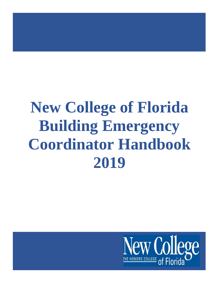# **New College of Florida Building Emergency Coordinator Handbook 2019**

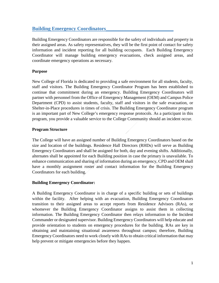#### **Building Emergency Coordinators\_\_\_\_\_\_\_\_\_\_\_\_\_\_\_\_\_\_\_\_\_\_\_\_\_\_\_**

Building Emergency Coordinators are responsible for the safety of individuals and property in their assigned areas. As safety representatives, they will be the first point of contact for safety information and incident reporting for all building occupants. Each Building Emergency Coordinator will manage building emergency evacuations, check assigned areas, and coordinate emergency operations as necessary.

#### **Purpose**

New College of Florida is dedicated to providing a safe environment for all students, faculty, staff and visitors. The Building Emergency Coordinator Program has been established to continue that commitment during an emergency. Building Emergency Coordinators will partner with personnel from the Office of Emergency Management (OEM) and Campus Police Department (CPD) to assist students, faculty, staff and visitors in the safe evacuation, or Shelter-in-Place procedures in times of crisis. The Building Emergency Coordinator program is an important part of New College's emergency response protocols. As a participant in this program, you provide a valuable service to the College Community should an incident occur.

#### **Program Structure**

The College will have an assigned number of Building Emergency Coordinators based on the size and location of the buildings. Residence Hall Directors (RHDs) will serve as Building Emergency Coordinators and shall be assigned for both, day and evening shifts. Additionally, alternates shall be appointed for each Building position in case the primary is unavailable. To enhance communication and sharing of information during an emergency, CPD and OEM shall have a monthly assignment roster and contact information for the Building Emergency Coordinators for each building.

#### **Building Emergency Coordinator:**

A Building Emergency Coordinator is in charge of a specific building or sets of buildings within the facility. After helping with an evacuation, Building Emergency Coordinators transition to their assigned areas to accept reports from Residence Advisors (RAs), or whomever the Building Emergency Coordinator assigns to assist them in collecting information. The Building Emergency Coordinator then relays information to the Incident Commander or designated supervisor. Building Emergency Coordinators will help educate and provide orientation to students on emergency procedures for the building. RAs are key in obtaining and maintaining situational awareness throughout campus; therefore, Building Emergency Coordinators need to work closely with RAs to obtain critical information that may help prevent or mitigate emergencies before they happen.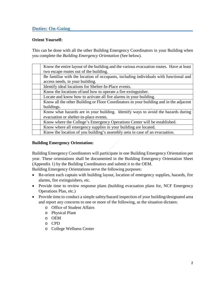### **Duties: On-Going\_\_\_\_\_\_\_\_\_\_\_\_\_\_\_\_\_\_\_\_\_\_\_\_\_\_\_\_\_\_\_\_\_\_\_\_\_\_\_\_\_\_\_\_\_\_\_\_\_**

#### **Orient Yourself:**

This can be done with all the other Building Emergency Coordinators in your Building when you complete the *Building Emergency Orientation* (See below).

| Know the entire layout of the building and the various evacuation routes. Have at least |
|-----------------------------------------------------------------------------------------|
| two escape routes out of the building.                                                  |
| Be familiar with the location of occupants, including individuals with functional and   |
| access needs, in your building.                                                         |
| Identify ideal locations for Shelter-In-Place events.                                   |
| Know the locations of/and how to operate a fire extinguisher.                           |
| Locate and know how to activate all fire alarms in your building.                       |
| Know all the other Building or Floor Coordinators in your building and in the adjacent  |
| buildings.                                                                              |
| Know what hazards are in your building. Identify ways to avoid the hazards during       |
| evacuation or shelter-in-place events.                                                  |
| Know where the College's Emergency Operations Center will be established.               |
| Know where all emergency supplies in your building are located.                         |
| Know the location of you building's assembly area in case of an evacuation.             |

#### **Building Emergency Orientation:**

Building Emergency Coordinators will participate in one Building Emergency Orientation per year. These orientations shall be documented in the Building Emergency Orientation Sheet (Appendix 1) by the Building Coordinators and submit it to the OEM.

Building Emergency Orientations serve the following purposes:

- Re-orient each captain with building layout, location of emergency supplies, hazards, fire alarms, fire extinguishers, etc.
- Provide time to review response plans (building evacuation plans for, NCF Emergency Operations Plan, etc.)
- Provide time to conduct a simple safety/hazard inspection of your building/designated area and report any concerns to one or more of the following, as the situation dictates:
	- o Office of Student Affairs
	- o Physical Plant
	- o OEM
	- o CPD
	- o College Wellness Center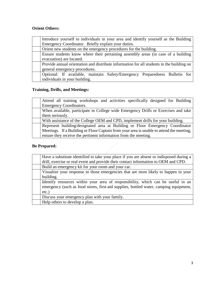#### **Orient Others:**

| Introduce yourself to individuals in your area and identify yourself as the Building      |  |  |  |  |
|-------------------------------------------------------------------------------------------|--|--|--|--|
| Emergency Coordinator. Briefly explain your duties.                                       |  |  |  |  |
| Orient new students on the emergency procedures for the building.                         |  |  |  |  |
| Ensure students know where their pertaining assembly areas (in case of a building         |  |  |  |  |
| evacuation) are located.                                                                  |  |  |  |  |
| Provide annual orientation and distribute information for all students in the building on |  |  |  |  |
| general emergency procedures.                                                             |  |  |  |  |
| Optional: If available, maintain Safety/Emergency Preparedness Bulletin for               |  |  |  |  |
| individuals in your building.                                                             |  |  |  |  |

## **Training, Drills, and Meetings:**

| Attend all training workshops and activities specifically designed for Building          |
|------------------------------------------------------------------------------------------|
| <b>Emergency Coordinators.</b>                                                           |
| When available, participate in College wide Emergency Drills or Exercises and take       |
| them seriously.                                                                          |
| With assistance of the College OEM and CPD, implement drills for your building.          |
|                                                                                          |
| Represent building/designated area at Building or Floor Emergency Coordinator            |
| Meetings. If a Building or Floor Captain from your area is unable to attend the meeting, |

#### **Be Prepared:**

| Have a substitute identified to take your place if you are absent or indisposed during a |
|------------------------------------------------------------------------------------------|
| drill, exercise or real event and provide their contact information to OEM and CPD.      |
| Build an emergency kit for your room and your car.                                       |
| Visualize your response to those emergencies that are most likely to happen in your      |
| building.                                                                                |
| Identify resources within your area of responsibility, which can be useful in an         |
| emergency (such as food stores, first-aid supplies, bottled water, camping equipment,    |
| $etc.$ )                                                                                 |
| Discuss your emergency plan with your family.                                            |
| Help others to develop a plan.                                                           |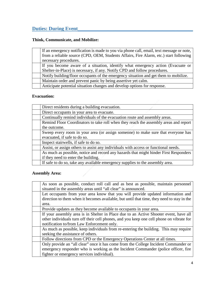# **Duties: During Event**

#### **Think, Communicate, and Mobilize:**

| If an emergency notification is made to you via phone call, email, text message or note, |
|------------------------------------------------------------------------------------------|
| from a reliable source (CPD, OEM, Students Affairs, Fire Alarm, etc.) start following    |
| necessary procedures.                                                                    |
| If you become aware of a situation, identify what emergency action (Evacuate or          |
| Shelter-in-Place) is necessary, if any. Notify CPD and follow procedures.                |
| Notify building/floor occupants of the emergency situation and get them to mobilize.     |
| Maintain order and prevent panic by being assertive yet calm.                            |
| Anticipate potential situation changes and develop options for response.                 |

#### **Evacuation:**

| Direct residents during a building evacuation.                                        |
|---------------------------------------------------------------------------------------|
| Direct occupants in your area to evacuate.                                            |
| Continually remind individuals of the evacuation route and assembly areas.            |
| Remind Floor Coordinators to take roll when they reach the assembly areas and report  |
| the outcome.                                                                          |
| Sweep every room in your area (or assign someone) to make sure that everyone has      |
| evacuated, if safe to do so.                                                          |
| Inspect stairwells, if safe to do so.                                                 |
| Assist, or assign others to assist any individuals with access or functional needs.   |
| As much as possible, notice and record any hazards that might hinder First Responders |
| if they need to enter the building.                                                   |
| If safe to do so, take any available emergency supplies to the assembly area.         |

#### **Assembly Area:**

| As soon as possible, conduct roll call and as best as possible, maintain personnel<br>situated in the assembly areas until "all clear" is announced. |  |
|------------------------------------------------------------------------------------------------------------------------------------------------------|--|
| Let occupants from your area know that you will provide updated information and                                                                      |  |
| direction to them when it becomes available, but until that time, they need to stay in the                                                           |  |
| area.                                                                                                                                                |  |
| Provide updates as they become available to occupants in your area.                                                                                  |  |
| If your assembly area is in Shelter in Place due to an Active Shooter event, have all                                                                |  |
| other individuals turn off their cell phones, and you keep one cell phone on vibrate for                                                             |  |
| notification to/from Law Enforcement only.                                                                                                           |  |
| As much as possible, keep individuals from re-entering the building. This may require                                                                |  |
| seeking the assistance of others.                                                                                                                    |  |
| Follow directions from CPD or the Emergency Operations Center at all times.                                                                          |  |
| Only provide an "all clear" once it has come from the College Incident Commander or                                                                  |  |
| emergency responder who is working as the Incident Commander (police officer, fire                                                                   |  |
| fighter or emergency services individual).                                                                                                           |  |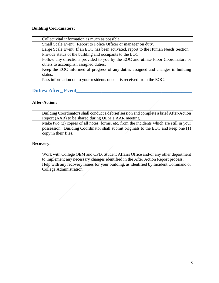#### **Building Coordinators:**

| Collect vital information as much as possible.                                      |
|-------------------------------------------------------------------------------------|
| Small Scale Event: Report to Police Officer or manager on duty.                     |
| Large Scale Event: If an EOC has been activated, report to the Human Needs Section. |
| Provide status of the building and occupants to the EOC.                            |
| Follow any directions provided to you by the EOC and utilize Floor Coordinators or  |
| others to accomplish assigned duties.                                               |
| Keep the EOC informed of progress of any duties assigned and changes in building    |
| status.                                                                             |
| Pass information on to your residents once it is received from the EOC.             |

## **Duties: After\_ Event\_\_\_\_\_\_\_\_\_\_\_\_\_\_\_\_\_\_\_\_\_\_\_\_\_\_\_\_\_\_\_\_\_\_\_\_\_\_\_\_\_\_\_\_\_\_**

 $\begin{array}{c} \begin{array}{c} \begin{array}{c} \begin{array}{c} \end{array} \\ \begin{array}{c} \end{array} \end{array} \end{array} \end{array}$ 

#### **After-Action:**

| Building Coordinators shall conduct a debrief session and complete a brief After-Action  |
|------------------------------------------------------------------------------------------|
| Report (AAR) to be shared during OEM's AAR meeting.                                      |
| Make two (2) copies of all notes, forms, etc. from the incidents which are still in your |
| possession. Building Coordinator shall submit originals to the EOC and keep one (1)      |
| copy in their files.                                                                     |

#### **Recovery:**

| Work with College OEM and CPD, Student Affairs Office and/or any other department     |
|---------------------------------------------------------------------------------------|
| to implement any necessary changes identified in the After Action Report process.     |
| Help with any recovery issues for your building, as identified by Incident Command or |
| College Administration.                                                               |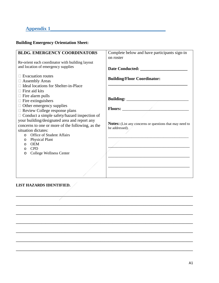# **Appendix 1\_\_\_\_\_\_\_\_\_\_\_\_\_\_\_\_\_\_\_\_\_\_\_\_\_\_\_\_\_\_\_\_\_\_\_\_\_\_\_\_\_\_\_\_\_\_**

#### **Building Emergency Orientation Sheet:**

| <b>BLDG. EMERGENCY COORDINATORS</b>                 | Complete below and have participants sign-in<br>on roster      |
|-----------------------------------------------------|----------------------------------------------------------------|
| Re-orient each coordinator with building layout     |                                                                |
| and location of emergency supplies                  |                                                                |
| $\Box$ Evacuation routes                            | <b>Building/Floor Coordinator:</b>                             |
| $\Box$ Assembly Areas                               |                                                                |
| □ Ideal locations for Shelter-in-Place              |                                                                |
| $\Box$ First aid kits                               |                                                                |
| $\Box$ Fire alarm pulls                             |                                                                |
| $\Box$ Fire extinguishers                           |                                                                |
| $\Box$ Other emergency supplies                     |                                                                |
| $\Box$ Review College response plans                |                                                                |
| $\Box$ Conduct a simple safety/hazard inspection of |                                                                |
| your building/designated area and report any        |                                                                |
| concerns to one or more of the following, as the    | <b>Notes:</b> (List any concerns or questions that may need to |
| situation dictates:                                 | be addressed).                                                 |
| o Office of Student Affairs                         |                                                                |
| <b>Physical Plant</b><br>$\circ$                    |                                                                |
| <b>OEM</b><br>$\circ$                               |                                                                |
| <b>CPD</b><br>$\circ$                               |                                                                |
| <b>College Wellness Center</b><br>$\circ$           |                                                                |
|                                                     |                                                                |
|                                                     |                                                                |
|                                                     |                                                                |

**\_\_\_\_\_\_\_\_\_\_\_\_\_\_\_\_\_\_\_\_\_\_\_\_\_\_\_\_\_\_\_\_\_\_\_\_\_\_\_\_\_\_\_\_\_\_\_\_\_\_\_\_\_\_\_\_\_\_\_\_\_\_\_\_\_\_\_\_\_\_\_\_\_\_\_\_\_\_\_\_\_\_\_\_\_\_\_\_\_\_**

**\_\_\_\_\_\_\_\_\_\_\_\_\_\_\_\_\_\_\_\_\_\_\_\_\_\_\_\_\_\_\_\_\_\_\_\_\_\_\_\_\_\_\_\_\_\_\_\_\_\_\_\_\_\_\_\_\_\_\_\_\_\_\_\_\_\_\_\_\_\_\_\_\_\_\_\_\_\_\_\_\_\_\_\_\_\_\_\_\_\_**

**\_\_\_\_\_\_\_\_\_\_\_\_\_\_\_\_\_\_\_\_\_\_\_\_\_\_\_\_\_\_\_\_\_\_\_\_\_\_\_\_\_\_\_\_\_\_\_\_\_\_\_\_\_\_\_\_\_\_\_\_\_\_\_\_\_\_\_\_\_\_\_\_\_\_\_\_\_\_\_\_\_\_\_\_\_\_\_\_\_\_**

**\_\_\_\_\_\_\_\_\_\_\_\_\_\_\_\_\_\_\_\_\_\_\_\_\_\_\_\_\_\_\_\_\_\_\_\_\_\_\_\_\_\_\_\_\_\_\_\_\_\_\_\_\_\_\_\_\_\_\_\_\_\_\_\_\_\_\_\_\_\_\_\_\_\_\_\_\_\_\_\_\_\_\_\_\_\_\_\_\_\_**

**\_\_\_\_\_\_\_\_\_\_\_\_\_\_\_\_\_\_\_\_\_\_\_\_\_\_\_\_\_\_\_\_\_\_\_\_\_\_\_\_\_\_\_\_\_\_\_\_\_\_\_\_\_\_\_\_\_\_\_\_\_\_\_\_\_\_\_\_\_\_\_\_\_\_\_\_\_\_\_\_\_\_\_\_\_\_\_\_\_\_**

**\_\_\_\_\_\_\_\_\_\_\_\_\_\_\_\_\_\_\_\_\_\_\_\_\_\_\_\_\_\_\_\_\_\_\_\_\_\_\_\_\_\_\_\_\_\_\_\_\_\_\_\_\_\_\_\_\_\_\_\_\_\_\_\_\_\_\_\_\_\_\_\_\_\_\_\_\_\_\_\_\_\_\_\_\_\_\_\_\_\_**

**\_\_\_\_\_\_\_\_\_\_\_\_\_\_\_\_\_\_\_\_\_\_\_\_\_\_\_\_\_\_\_\_\_\_\_\_\_\_\_\_\_\_\_\_\_\_\_\_\_\_\_\_\_\_\_\_\_\_\_\_\_\_\_\_\_\_\_\_\_\_\_\_\_\_\_\_\_\_\_\_\_\_\_\_\_\_\_\_\_\_**

#### **LIST HAZARDS IDENTIFIED.**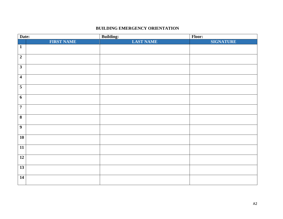#### **BUILDING EMERGENCY ORIENTATION**

| Date:                   |                   | <b>Building:</b> | Floor:           |
|-------------------------|-------------------|------------------|------------------|
|                         | <b>FIRST NAME</b> | <b>LAST NAME</b> | <b>SIGNATURE</b> |
| $\mathbf{1}$            |                   |                  |                  |
|                         |                   |                  |                  |
| $\overline{2}$          |                   |                  |                  |
| $\mathbf{3}$            |                   |                  |                  |
|                         |                   |                  |                  |
| $\overline{\mathbf{4}}$ |                   |                  |                  |
| $\overline{\mathbf{5}}$ |                   |                  |                  |
|                         |                   |                  |                  |
| 6                       |                   |                  |                  |
|                         |                   |                  |                  |
| $\overline{7}$          |                   |                  |                  |
| $\overline{\mathbf{8}}$ |                   |                  |                  |
|                         |                   |                  |                  |
| $\boldsymbol{9}$        |                   |                  |                  |
|                         |                   |                  |                  |
| 10                      |                   |                  |                  |
| 11                      |                   |                  |                  |
|                         |                   |                  |                  |
| $\overline{12}$         |                   |                  |                  |
|                         |                   |                  |                  |
| $\overline{13}$         |                   |                  |                  |
| $\overline{14}$         |                   |                  |                  |
|                         |                   |                  |                  |